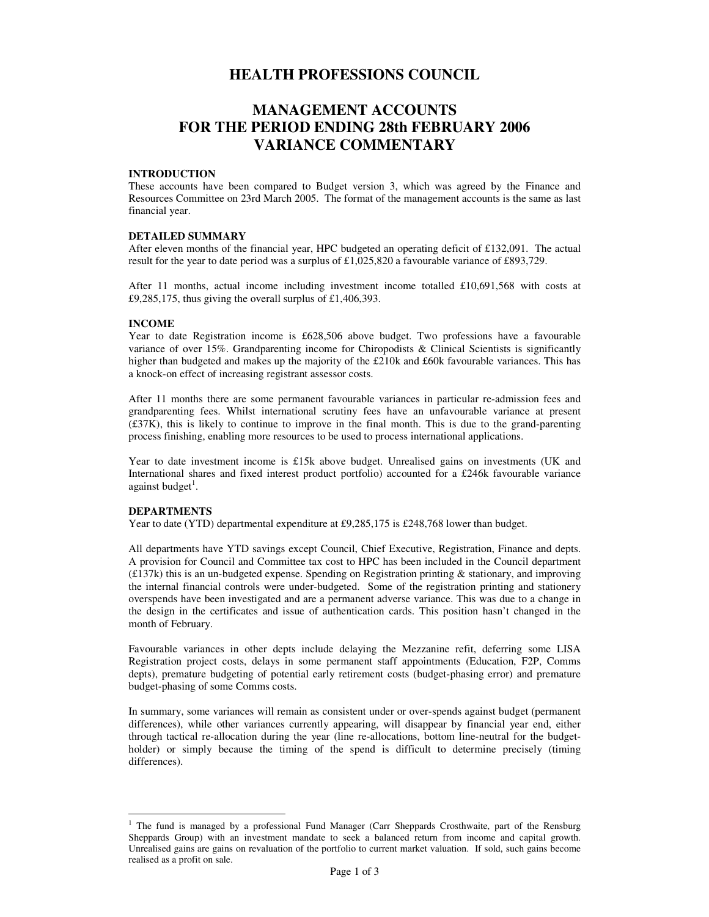# **HEALTH PROFESSIONS COUNCIL**

# **MANAGEMENT ACCOUNTS FOR THE PERIOD ENDING 28th FEBRUARY 2006 VARIANCE COMMENTARY**

#### **INTRODUCTION**

These accounts have been compared to Budget version 3, which was agreed by the Finance and Resources Committee on 23rd March 2005. The format of the management accounts is the same as last financial year.

# **DETAILED SUMMARY**

After eleven months of the financial year, HPC budgeted an operating deficit of £132,091. The actual result for the year to date period was a surplus of £1,025,820 a favourable variance of £893,729.

After 11 months, actual income including investment income totalled £10,691,568 with costs at  $£9,285,175,$  thus giving the overall surplus of £1,406,393.

# **INCOME**

Year to date Registration income is £628,506 above budget. Two professions have a favourable variance of over 15%. Grandparenting income for Chiropodists & Clinical Scientists is significantly higher than budgeted and makes up the majority of the £210k and £60k favourable variances. This has a knock-on effect of increasing registrant assessor costs.

After 11 months there are some permanent favourable variances in particular re-admission fees and grandparenting fees. Whilst international scrutiny fees have an unfavourable variance at present  $(£37K)$ , this is likely to continue to improve in the final month. This is due to the grand-parenting process finishing, enabling more resources to be used to process international applications.

Year to date investment income is £15k above budget. Unrealised gains on investments (UK and International shares and fixed interest product portfolio) accounted for a £246k favourable variance against budget<sup>1</sup>.

# **DEPARTMENTS**

Year to date (YTD) departmental expenditure at £9,285,175 is £248,768 lower than budget.

All departments have YTD savings except Council, Chief Executive, Registration, Finance and depts. A provision for Council and Committee tax cost to HPC has been included in the Council department (£137k) this is an un-budgeted expense. Spending on Registration printing & stationary, and improving the internal financial controls were under-budgeted. Some of the registration printing and stationery overspends have been investigated and are a permanent adverse variance. This was due to a change in the design in the certificates and issue of authentication cards. This position hasn't changed in the month of February.

Favourable variances in other depts include delaying the Mezzanine refit, deferring some LISA Registration project costs, delays in some permanent staff appointments (Education, F2P, Comms depts), premature budgeting of potential early retirement costs (budget-phasing error) and premature budget-phasing of some Comms costs.

In summary, some variances will remain as consistent under or over-spends against budget (permanent differences), while other variances currently appearing, will disappear by financial year end, either through tactical re-allocation during the year (line re-allocations, bottom line-neutral for the budgetholder) or simply because the timing of the spend is difficult to determine precisely (timing differences).

 $\overline{a}$ <sup>1</sup> The fund is managed by a professional Fund Manager (Carr Sheppards Crosthwaite, part of the Rensburg Sheppards Group) with an investment mandate to seek a balanced return from income and capital growth. Unrealised gains are gains on revaluation of the portfolio to current market valuation. If sold, such gains become realised as a profit on sale.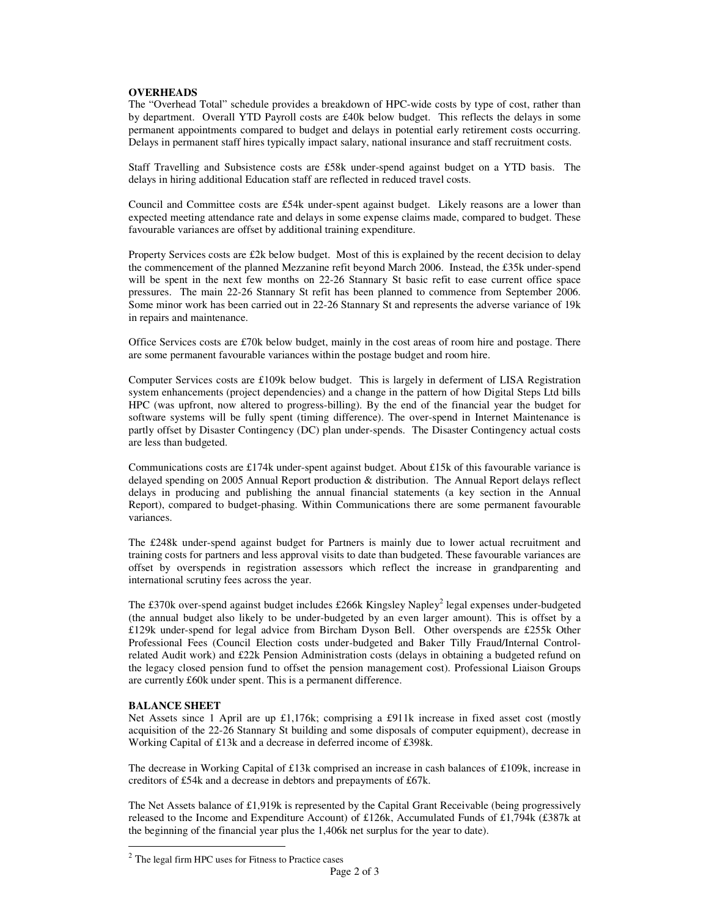#### **OVERHEADS**

The "Overhead Total" schedule provides a breakdown of HPC-wide costs by type of cost, rather than by department. Overall YTD Payroll costs are £40k below budget. This reflects the delays in some permanent appointments compared to budget and delays in potential early retirement costs occurring. Delays in permanent staff hires typically impact salary, national insurance and staff recruitment costs.

Staff Travelling and Subsistence costs are £58k under-spend against budget on a YTD basis. The delays in hiring additional Education staff are reflected in reduced travel costs.

Council and Committee costs are £54k under-spent against budget. Likely reasons are a lower than expected meeting attendance rate and delays in some expense claims made, compared to budget. These favourable variances are offset by additional training expenditure.

Property Services costs are £2k below budget. Most of this is explained by the recent decision to delay the commencement of the planned Mezzanine refit beyond March 2006. Instead, the £35k under-spend will be spent in the next few months on 22-26 Stannary St basic refit to ease current office space pressures. The main 22-26 Stannary St refit has been planned to commence from September 2006. Some minor work has been carried out in 22-26 Stannary St and represents the adverse variance of 19k in repairs and maintenance.

Office Services costs are £70k below budget, mainly in the cost areas of room hire and postage. There are some permanent favourable variances within the postage budget and room hire.

Computer Services costs are £109k below budget. This is largely in deferment of LISA Registration system enhancements (project dependencies) and a change in the pattern of how Digital Steps Ltd bills HPC (was upfront, now altered to progress-billing). By the end of the financial year the budget for software systems will be fully spent (timing difference). The over-spend in Internet Maintenance is partly offset by Disaster Contingency (DC) plan under-spends. The Disaster Contingency actual costs are less than budgeted.

Communications costs are £174k under-spent against budget. About £15k of this favourable variance is delayed spending on 2005 Annual Report production & distribution. The Annual Report delays reflect delays in producing and publishing the annual financial statements (a key section in the Annual Report), compared to budget-phasing. Within Communications there are some permanent favourable variances.

The £248k under-spend against budget for Partners is mainly due to lower actual recruitment and training costs for partners and less approval visits to date than budgeted. These favourable variances are offset by overspends in registration assessors which reflect the increase in grandparenting and international scrutiny fees across the year.

The £370k over-spend against budget includes £266k Kingsley Napley<sup>2</sup> legal expenses under-budgeted (the annual budget also likely to be under-budgeted by an even larger amount). This is offset by a £129k under-spend for legal advice from Bircham Dyson Bell. Other overspends are £255k Other Professional Fees (Council Election costs under-budgeted and Baker Tilly Fraud/Internal Controlrelated Audit work) and £22k Pension Administration costs (delays in obtaining a budgeted refund on the legacy closed pension fund to offset the pension management cost). Professional Liaison Groups are currently £60k under spent. This is a permanent difference.

#### **BALANCE SHEET**

 $\overline{a}$ 

Net Assets since 1 April are up £1,176k; comprising a £911k increase in fixed asset cost (mostly acquisition of the 22-26 Stannary St building and some disposals of computer equipment), decrease in Working Capital of £13k and a decrease in deferred income of £398k.

The decrease in Working Capital of £13k comprised an increase in cash balances of £109k, increase in creditors of £54k and a decrease in debtors and prepayments of £67k.

The Net Assets balance of £1,919k is represented by the Capital Grant Receivable (being progressively released to the Income and Expenditure Account) of £126k, Accumulated Funds of £1,794k (£387k at the beginning of the financial year plus the 1,406k net surplus for the year to date).

 $2$  The legal firm HPC uses for Fitness to Practice cases